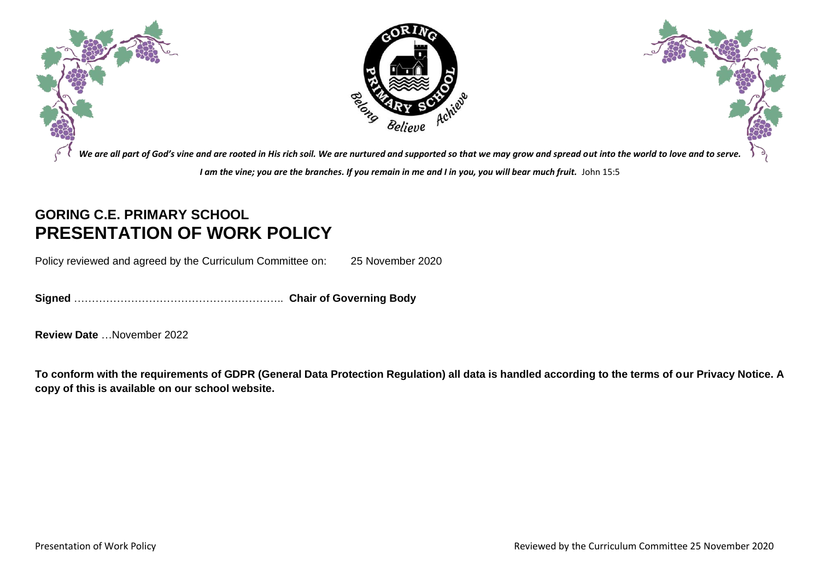

## **GORING C.E. PRIMARY SCHOOL PRESENTATION OF WORK POLICY**

Policy reviewed and agreed by the Curriculum Committee on: 25 November 2020

**Signed** ………………………………………………….. **Chair of Governing Body**

**Review Date** …November 2022

**To conform with the requirements of GDPR (General Data Protection Regulation) all data is handled according to the terms of our Privacy Notice. A copy of this is available on our school website.**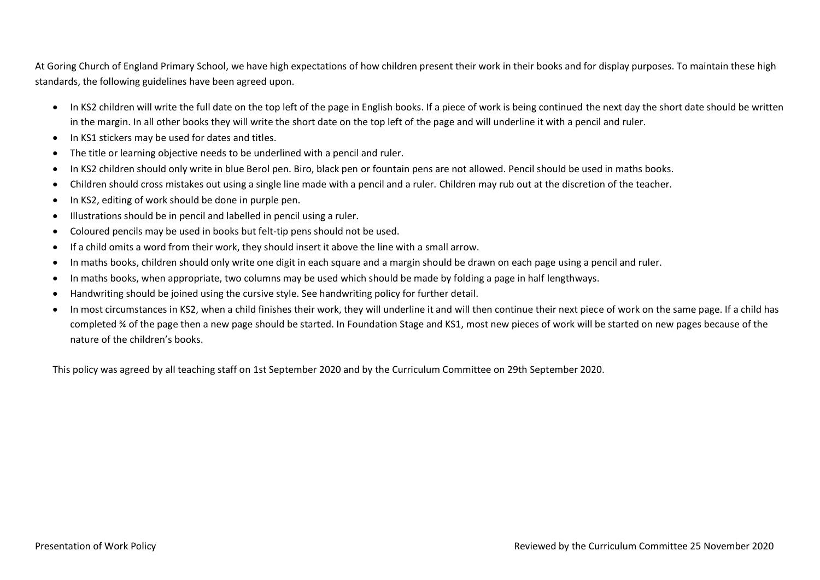At Goring Church of England Primary School, we have high expectations of how children present their work in their books and for display purposes. To maintain these high standards, the following guidelines have been agreed upon.

- In KS2 children will write the full date on the top left of the page in English books. If a piece of work is being continued the next day the short date should be written in the margin. In all other books they will write the short date on the top left of the page and will underline it with a pencil and ruler.
- In KS1 stickers may be used for dates and titles.
- The title or learning objective needs to be underlined with a pencil and ruler.
- In KS2 children should only write in blue Berol pen. Biro, black pen or fountain pens are not allowed. Pencil should be used in maths books.
- Children should cross mistakes out using a single line made with a pencil and a ruler. Children may rub out at the discretion of the teacher.
- In KS2, editing of work should be done in purple pen.
- Illustrations should be in pencil and labelled in pencil using a ruler.
- Coloured pencils may be used in books but felt-tip pens should not be used.
- If a child omits a word from their work, they should insert it above the line with a small arrow.
- In maths books, children should only write one digit in each square and a margin should be drawn on each page using a pencil and ruler.
- In maths books, when appropriate, two columns may be used which should be made by folding a page in half lengthways.
- Handwriting should be joined using the cursive style. See handwriting policy for further detail.
- In most circumstances in KS2, when a child finishes their work, they will underline it and will then continue their next piece of work on the same page. If a child has completed ¾ of the page then a new page should be started. In Foundation Stage and KS1, most new pieces of work will be started on new pages because of the nature of the children's books.

This policy was agreed by all teaching staff on 1st September 2020 and by the Curriculum Committee on 29th September 2020.